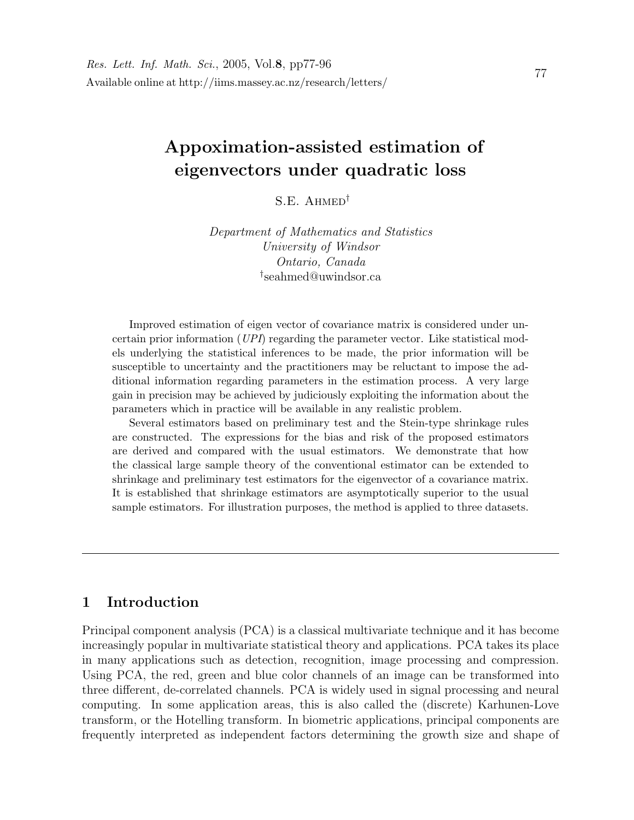# Appoximation-assisted estimation of eigenvectors under quadratic loss

S.E. AHMED<sup>†</sup>

Department of Mathematics and Statistics University of Windsor Ontario, Canada † seahmed@uwindsor.ca

Improved estimation of eigen vector of covariance matrix is considered under uncertain prior information (UPI) regarding the parameter vector. Like statistical models underlying the statistical inferences to be made, the prior information will be susceptible to uncertainty and the practitioners may be reluctant to impose the additional information regarding parameters in the estimation process. A very large gain in precision may be achieved by judiciously exploiting the information about the parameters which in practice will be available in any realistic problem.

Several estimators based on preliminary test and the Stein-type shrinkage rules are constructed. The expressions for the bias and risk of the proposed estimators are derived and compared with the usual estimators. We demonstrate that how the classical large sample theory of the conventional estimator can be extended to shrinkage and preliminary test estimators for the eigenvector of a covariance matrix. It is established that shrinkage estimators are asymptotically superior to the usual sample estimators. For illustration purposes, the method is applied to three datasets.

# 1 Introduction

Principal component analysis (PCA) is a classical multivariate technique and it has become increasingly popular in multivariate statistical theory and applications. PCA takes its place in many applications such as detection, recognition, image processing and compression. Using PCA, the red, green and blue color channels of an image can be transformed into three different, de-correlated channels. PCA is widely used in signal processing and neural computing. In some application areas, this is also called the (discrete) Karhunen-Love transform, or the Hotelling transform. In biometric applications, principal components are frequently interpreted as independent factors determining the growth size and shape of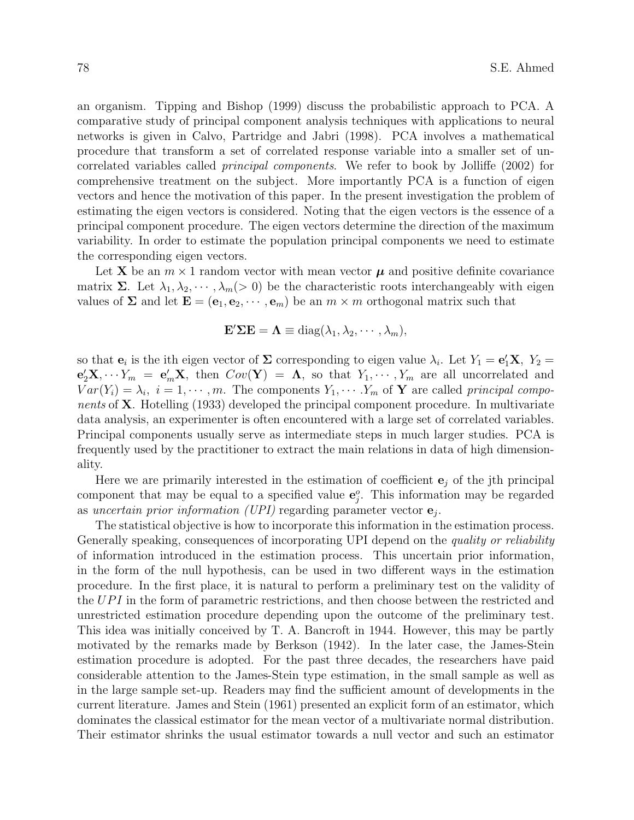an organism. Tipping and Bishop (1999) discuss the probabilistic approach to PCA. A comparative study of principal component analysis techniques with applications to neural networks is given in Calvo, Partridge and Jabri (1998). PCA involves a mathematical procedure that transform a set of correlated response variable into a smaller set of uncorrelated variables called principal components. We refer to book by Jolliffe (2002) for comprehensive treatment on the subject. More importantly PCA is a function of eigen vectors and hence the motivation of this paper. In the present investigation the problem of estimating the eigen vectors is considered. Noting that the eigen vectors is the essence of a principal component procedure. The eigen vectors determine the direction of the maximum variability. In order to estimate the population principal components we need to estimate the corresponding eigen vectors.

Let **X** be an  $m \times 1$  random vector with mean vector  $\mu$  and positive definite covariance matrix **Σ**. Let  $\lambda_1, \lambda_2, \cdots, \lambda_m$ (> 0) be the characteristic roots interchangeably with eigen values of  $\Sigma$  and let  $\mathbf{E} = (\mathbf{e}_1, \mathbf{e}_2, \dots, \mathbf{e}_m)$  be an  $m \times m$  orthogonal matrix such that

$$
\mathbf{E}'\mathbf{\Sigma}\mathbf{E} = \mathbf{\Lambda} \equiv \mathrm{diag}(\lambda_1, \lambda_2, \cdots, \lambda_m),
$$

so that  $e_i$  is the ith eigen vector of  $\Sigma$  corresponding to eigen value  $\lambda_i$ . Let  $Y_1 = e'_1 \mathbf{X}$ ,  $Y_2 = e'_2 \mathbf{X}$  ${\bf e}_2' {\bf X}, \cdots Y_m = {\bf e}_m' {\bf X},$  then  $Cov({\bf Y}) = {\bf \Lambda},$  so that  $Y_1, \cdots, Y_m$  are all uncorrelated and  $Var(Y_i) = \lambda_i$ ,  $i = 1, \dots, m$ . The components  $Y_1, \dots, Y_m$  of **Y** are called *principal compo*nents of **X**. Hotelling (1933) developed the principal component procedure. In multivariate data analysis, an experimenter is often encountered with a large set of correlated variables. Principal components usually serve as intermediate steps in much larger studies. PCA is frequently used by the practitioner to extract the main relations in data of high dimensionality.

Here we are primarily interested in the estimation of coefficient  $e_j$  of the jth principal component that may be equal to a specified value  $e_j^o$ . This information may be regarded as uncertain prior information (UPI) regarding parameter vector  $e_j$ .

The statistical objective is how to incorporate this information in the estimation process. Generally speaking, consequences of incorporating UPI depend on the quality or reliability of information introduced in the estimation process. This uncertain prior information, in the form of the null hypothesis, can be used in two different ways in the estimation procedure. In the first place, it is natural to perform a preliminary test on the validity of the  $UPI$  in the form of parametric restrictions, and then choose between the restricted and unrestricted estimation procedure depending upon the outcome of the preliminary test. This idea was initially conceived by T. A. Bancroft in 1944. However, this may be partly motivated by the remarks made by Berkson (1942). In the later case, the James-Stein estimation procedure is adopted. For the past three decades, the researchers have paid considerable attention to the James-Stein type estimation, in the small sample as well as in the large sample set-up. Readers may find the sufficient amount of developments in the current literature. James and Stein (1961) presented an explicit form of an estimator, which dominates the classical estimator for the mean vector of a multivariate normal distribution. Their estimator shrinks the usual estimator towards a null vector and such an estimator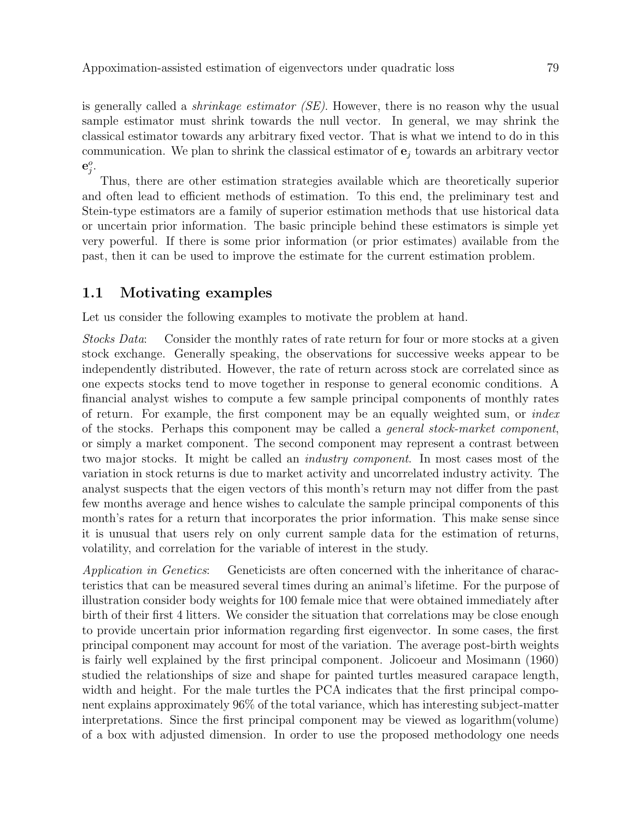is generally called a shrinkage estimator (SE). However, there is no reason why the usual sample estimator must shrink towards the null vector. In general, we may shrink the classical estimator towards any arbitrary fixed vector. That is what we intend to do in this communication. We plan to shrink the classical estimator of  $e_i$  towards an arbitrary vector  $\mathbf{e}^o_j$ .

Thus, there are other estimation strategies available which are theoretically superior and often lead to efficient methods of estimation. To this end, the preliminary test and Stein-type estimators are a family of superior estimation methods that use historical data or uncertain prior information. The basic principle behind these estimators is simple yet very powerful. If there is some prior information (or prior estimates) available from the past, then it can be used to improve the estimate for the current estimation problem.

# 1.1 Motivating examples

Let us consider the following examples to motivate the problem at hand.

Stocks Data: Consider the monthly rates of rate return for four or more stocks at a given stock exchange. Generally speaking, the observations for successive weeks appear to be independently distributed. However, the rate of return across stock are correlated since as one expects stocks tend to move together in response to general economic conditions. A financial analyst wishes to compute a few sample principal components of monthly rates of return. For example, the first component may be an equally weighted sum, or index of the stocks. Perhaps this component may be called a general stock-market component, or simply a market component. The second component may represent a contrast between two major stocks. It might be called an industry component. In most cases most of the variation in stock returns is due to market activity and uncorrelated industry activity. The analyst suspects that the eigen vectors of this month's return may not differ from the past few months average and hence wishes to calculate the sample principal components of this month's rates for a return that incorporates the prior information. This make sense since it is unusual that users rely on only current sample data for the estimation of returns, volatility, and correlation for the variable of interest in the study.

Application in Genetics: Geneticists are often concerned with the inheritance of characteristics that can be measured several times during an animal's lifetime. For the purpose of illustration consider body weights for 100 female mice that were obtained immediately after birth of their first 4 litters. We consider the situation that correlations may be close enough to provide uncertain prior information regarding first eigenvector. In some cases, the first principal component may account for most of the variation. The average post-birth weights is fairly well explained by the first principal component. Jolicoeur and Mosimann (1960) studied the relationships of size and shape for painted turtles measured carapace length, width and height. For the male turtles the PCA indicates that the first principal component explains approximately 96% of the total variance, which has interesting subject-matter interpretations. Since the first principal component may be viewed as logarithm(volume) of a box with adjusted dimension. In order to use the proposed methodology one needs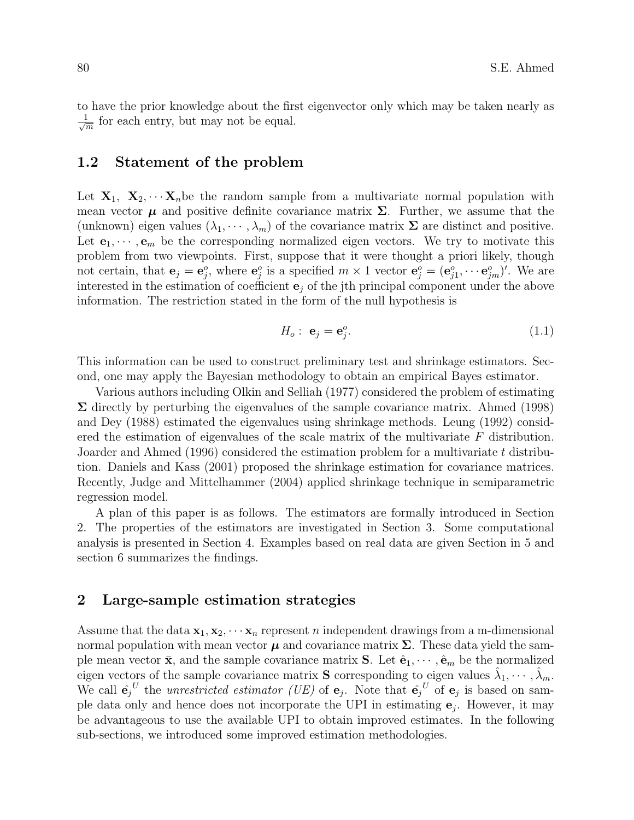to have the prior knowledge about the first eigenvector only which may be taken nearly as  $\frac{1}{\sqrt{2}}$  $\frac{1}{m}$  for each entry, but may not be equal.

# 1.2 Statement of the problem

Let  $X_1, X_2, \cdots X_n$  be the random sample from a multivariate normal population with mean vector  $\mu$  and positive definite covariance matrix  $\Sigma$ . Further, we assume that the (unknown) eigen values  $(\lambda_1, \dots, \lambda_m)$  of the covariance matrix  $\Sigma$  are distinct and positive. Let  $e_1, \dots, e_m$  be the corresponding normalized eigen vectors. We try to motivate this problem from two viewpoints. First, suppose that it were thought a priori likely, though not certain, that  $\mathbf{e}_j = \mathbf{e}_j^o$ , where  $\mathbf{e}_j^o$  is a specified  $m \times 1$  vector  $\mathbf{e}_j^o = (\mathbf{e}_{j1}^o, \dots, \mathbf{e}_{jm}^o)'$ . We are interested in the estimation of coefficient  $e_j$  of the jth principal component under the above information. The restriction stated in the form of the null hypothesis is

$$
H_o: \mathbf{e}_j = \mathbf{e}_j^o. \tag{1.1}
$$

This information can be used to construct preliminary test and shrinkage estimators. Second, one may apply the Bayesian methodology to obtain an empirical Bayes estimator.

Various authors including Olkin and Selliah (1977) considered the problem of estimating  $\Sigma$  directly by perturbing the eigenvalues of the sample covariance matrix. Ahmed (1998) and Dey (1988) estimated the eigenvalues using shrinkage methods. Leung (1992) considered the estimation of eigenvalues of the scale matrix of the multivariate F distribution. Joarder and Ahmed (1996) considered the estimation problem for a multivariate t distribution. Daniels and Kass (2001) proposed the shrinkage estimation for covariance matrices. Recently, Judge and Mittelhammer (2004) applied shrinkage technique in semiparametric regression model.

A plan of this paper is as follows. The estimators are formally introduced in Section 2. The properties of the estimators are investigated in Section 3. Some computational analysis is presented in Section 4. Examples based on real data are given Section in 5 and section 6 summarizes the findings.

# 2 Large-sample estimation strategies

Assume that the data  $x_1, x_2, \dots, x_n$  represent n independent drawings from a m-dimensional normal population with mean vector  $\mu$  and covariance matrix  $\Sigma$ . These data yield the sample mean vector  $\bar{\mathbf{x}}$ , and the sample covariance matrix **S**. Let  $\hat{\mathbf{e}}_1, \cdots, \hat{\mathbf{e}}_m$  be the normalized eigen vectors of the sample covariance matrix **S** corresponding to eigen values  $\hat{\lambda}_1, \dots, \hat{\lambda}_m$ . We call  $\hat{\mathbf{e}_j}^U$  the *unrestricted estimator* (UE) of  $\mathbf{e}_j$ . Note that  $\hat{\mathbf{e}_j}^U$  of  $\mathbf{e}_j$  is based on sample data only and hence does not incorporate the UPI in estimating  $e_j$ . However, it may be advantageous to use the available UPI to obtain improved estimates. In the following sub-sections, we introduced some improved estimation methodologies.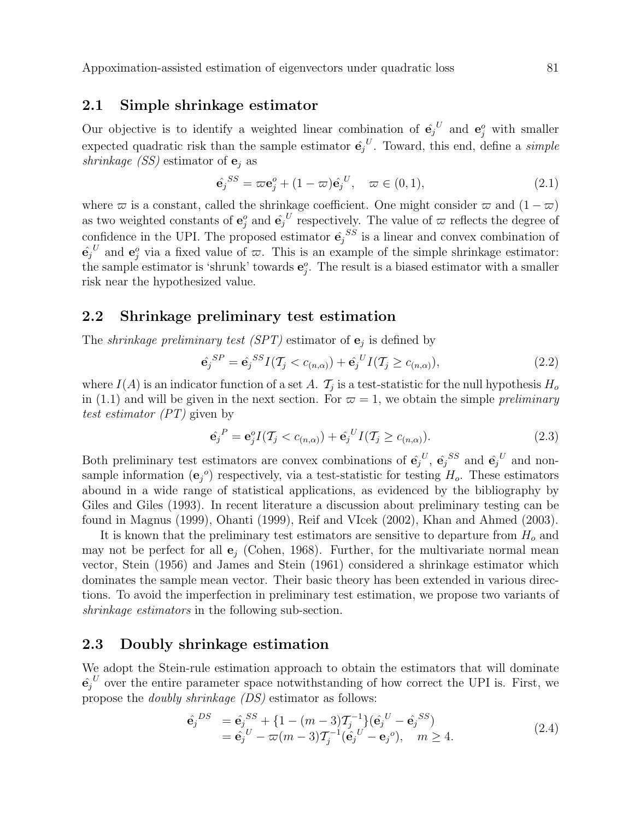# 2.1 Simple shrinkage estimator

Our objective is to identify a weighted linear combination of  $\hat{\mathbf{e}}_j^U$  and  $\mathbf{e}_j^o$  with smaller expected quadratic risk than the sample estimator  $\hat{\mathbf{e}_j}^U$ . Toward, this end, define a *simple* shrinkage (SS) estimator of  $\mathbf{e}_j$  as

$$
\hat{\mathbf{e}}_j^{SS} = \varpi \mathbf{e}_j^o + (1 - \varpi) \hat{\mathbf{e}}_j^U, \quad \varpi \in (0, 1), \tag{2.1}
$$

where  $\varpi$  is a constant, called the shrinkage coefficient. One might consider  $\varpi$  and  $(1 - \varpi)$ as two weighted constants of  $e_j^o$  and  $\hat{e_j}^U$  respectively. The value of  $\varpi$  reflects the degree of confidence in the UPI. The proposed estimator  $\hat{\mathbf{e}}_j^{SS}$  is a linear and convex combination of  $\hat{\mathbf{e}}_j^U$  and  $\mathbf{e}_j^o$  via a fixed value of  $\varpi$ . This is an example of the simple shrinkage estimator: the sample estimator is 'shrunk' towards  $e_j^o$ . The result is a biased estimator with a smaller risk near the hypothesized value.

# 2.2 Shrinkage preliminary test estimation

The *shrinkage preliminary test (SPT)* estimator of  $e_j$  is defined by

$$
\hat{\mathbf{e}_j}^{SP} = \hat{\mathbf{e}_j}^{SS} I(\mathcal{T}_j < c_{(n,\alpha)}) + \hat{\mathbf{e}_j}^{U} I(\mathcal{T}_j \geq c_{(n,\alpha)}),\tag{2.2}
$$

where  $I(A)$  is an indicator function of a set A.  $\mathcal{T}_j$  is a test-statistic for the null hypothesis  $H_o$ in (1.1) and will be given in the next section. For  $\varpi = 1$ , we obtain the simple *preliminary* test estimator (PT) given by

$$
\hat{\mathbf{e}_j}^P = \mathbf{e}_j^o I(\mathcal{T}_j < c_{(n,\alpha)}) + \hat{\mathbf{e}_j}^U I(\mathcal{T}_j \geq c_{(n,\alpha)}). \tag{2.3}
$$

Both preliminary test estimators are convex combinations of  $\hat{\mathbf{e}}_j^{\ U}$ ,  $\hat{\mathbf{e}}_j^{\ SS}$  and  $\hat{\mathbf{e}}_j^{\ U}$  and nonsample information  $(e_j^o)$  respectively, via a test-statistic for testing  $H_o$ . These estimators abound in a wide range of statistical applications, as evidenced by the bibliography by Giles and Giles (1993). In recent literature a discussion about preliminary testing can be found in Magnus (1999), Ohanti (1999), Reif and VIcek (2002), Khan and Ahmed (2003).

It is known that the preliminary test estimators are sensitive to departure from  $H<sub>o</sub>$  and may not be perfect for all  $e_i$  (Cohen, 1968). Further, for the multivariate normal mean vector, Stein (1956) and James and Stein (1961) considered a shrinkage estimator which dominates the sample mean vector. Their basic theory has been extended in various directions. To avoid the imperfection in preliminary test estimation, we propose two variants of shrinkage estimators in the following sub-section.

# 2.3 Doubly shrinkage estimation

We adopt the Stein-rule estimation approach to obtain the estimators that will dominate  $\hat{\mathbf{e}}_j^{\ U}$  over the entire parameter space notwithstanding of how correct the UPI is. First, we propose the doubly shrinkage (DS) estimator as follows:

$$
\begin{aligned}\n\hat{\mathbf{e}}_j^{DS} &= \hat{\mathbf{e}}_j^{SS} + \{1 - (m-3)T_j^{-1}\} (\hat{\mathbf{e}}_j^{U} - \hat{\mathbf{e}}_j^{SS}) \\
&= \hat{\mathbf{e}}_j^{U} - \varpi(m-3)T_j^{-1} (\hat{\mathbf{e}}_j^{U} - \mathbf{e}_j^{o}), \quad m \ge 4.\n\end{aligned} \tag{2.4}
$$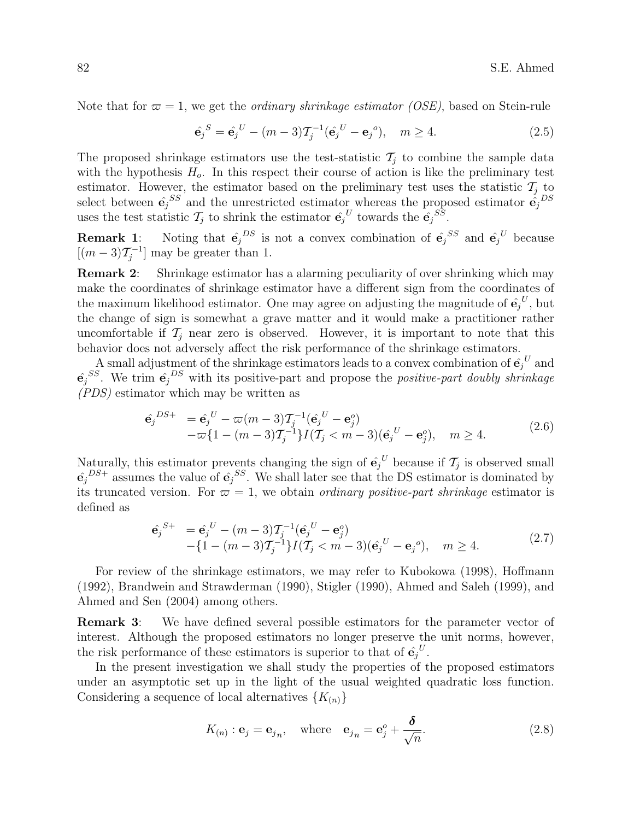Note that for  $\varpi = 1$ , we get the *ordinary shrinkage estimator (OSE)*, based on Stein-rule

$$
\hat{\mathbf{e}}_j^S = \hat{\mathbf{e}}_j^U - (m-3)\mathcal{T}_j^{-1}(\hat{\mathbf{e}}_j^U - \mathbf{e}_j^o), \quad m \ge 4.
$$
\n(2.5)

The proposed shrinkage estimators use the test-statistic  $\mathcal{T}_j$  to combine the sample data with the hypothesis  $H<sub>o</sub>$ . In this respect their course of action is like the preliminary test estimator. However, the estimator based on the preliminary test uses the statistic  $\mathcal{T}_j$  to select between  $\hat{\mathbf{e}}_j^{SS}$  and the unrestricted estimator whereas the proposed estimator  $\hat{\mathbf{e}}_j^{DS}$ uses the test statistic  $\mathcal{T}_j$  to shrink the estimator  $\hat{\mathbf{e}}_j^U$  towards the  $\hat{\mathbf{e}}_j^{SS}$ .

**Remark 1**: Noting that  $\hat{\mathbf{e}}_j^{DS}$  is not a convex combination of  $\hat{\mathbf{e}}_j^{SS}$  and  $\hat{\mathbf{e}}_j^{U}$  because  $[(m-3)T_i^{-1}]$  $\left[\begin{matrix} z^{-1} \\ j \end{matrix}\right]$  may be greater than 1.

Remark 2: Shrinkage estimator has a alarming peculiarity of over shrinking which may make the coordinates of shrinkage estimator have a different sign from the coordinates of the maximum likelihood estimator. One may agree on adjusting the magnitude of  $\hat{\mathbf{e}}_j^{\ U}$ , but the change of sign is somewhat a grave matter and it would make a practitioner rather uncomfortable if  $\mathcal{T}_j$  near zero is observed. However, it is important to note that this behavior does not adversely affect the risk performance of the shrinkage estimators.

A small adjustment of the shrinkage estimators leads to a convex combination of  $\hat{\mathbf{e}}_j^{\,U}$  and  $\hat{\mathbf{e}_j}^{SS}$ . We trim  $\hat{\mathbf{e}_j}^{DS}$  with its positive-part and propose the *positive-part doubly shrinkage* (PDS) estimator which may be written as

$$
\begin{aligned}\n\hat{\mathbf{e}}_j^{DS+} &= \hat{\mathbf{e}}_j^{U} - \varpi (m-3) \mathcal{T}_j^{-1} (\hat{\mathbf{e}}_j^{U} - \mathbf{e}_j^{o}) \\
&\quad - \varpi \{ 1 - (m-3) \mathcal{T}_j^{-1} \} I(\mathcal{T}_j < m-3) (\hat{\mathbf{e}}_j^{U} - \mathbf{e}_j^{o}), \quad m \ge 4.\n\end{aligned} \tag{2.6}
$$

Naturally, this estimator prevents changing the sign of  $\hat{\mathbf{e}}_j^U$  because if  $\mathcal{T}_j$  is observed small  $\hat{\mathbf{e}}_j^{DS+}$  assumes the value of  $\hat{\mathbf{e}}_j^{SS}$ . We shall later see that the DS estimator is dominated by its truncated version. For  $\overline{\omega} = 1$ , we obtain *ordinary positive-part shrinkage* estimator is defined as

$$
\hat{\mathbf{e}}_j^{S+} = \hat{\mathbf{e}}_j^U - (m-3)\mathcal{T}_j^{-1}(\hat{\mathbf{e}}_j^U - \mathbf{e}_j^o) \n- \{1 - (m-3)\mathcal{T}_j^{-1}\}I(\mathcal{T}_j < m-3)(\hat{\mathbf{e}}_j^U - \mathbf{e}_j^o), \quad m \ge 4.
$$
\n(2.7)

For review of the shrinkage estimators, we may refer to Kubokowa (1998), Hoffmann (1992), Brandwein and Strawderman (1990), Stigler (1990), Ahmed and Saleh (1999), and Ahmed and Sen (2004) among others.

Remark 3: We have defined several possible estimators for the parameter vector of interest. Although the proposed estimators no longer preserve the unit norms, however, the risk performance of these estimators is superior to that of  $\hat{\mathbf{e}}_j^U$ .

In the present investigation we shall study the properties of the proposed estimators under an asymptotic set up in the light of the usual weighted quadratic loss function. Considering a sequence of local alternatives  ${K_{(n)}}$ 

$$
K_{(n)}: \mathbf{e}_j = \mathbf{e}_{j_n}, \quad \text{where} \quad \mathbf{e}_{j_n} = \mathbf{e}_j^o + \frac{\delta}{\sqrt{n}}.
$$
 (2.8)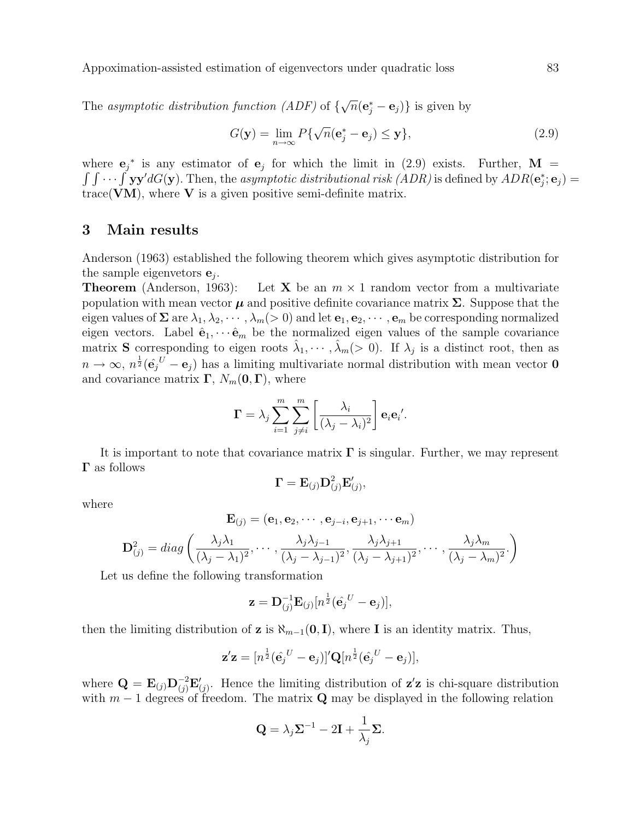Appoximation-assisted estimation of eigenvectors under quadratic loss 83

The *asymptotic distribution function (ADF)* of { √  $\overline{n}(\mathbf{e}_j^* - \mathbf{e}_j)$  is given by

$$
G(\mathbf{y}) = \lim_{n \to \infty} P\{\sqrt{n}(\mathbf{e}_j^* - \mathbf{e}_j) \le \mathbf{y}\},\tag{2.9}
$$

where  $e_j^*$  is any estimator of  $e_j$  for which the limit in (2.9) exists. Further, M =  $\int \int \cdots \int y y' dG(y)$ . Then, the *asymptotic distributional risk (ADR)* is defined by  $ADR(e_j^*; e_j)$  = trace  $(\mathbf{V}\mathbf{M})$ , where  $\mathbf{V}$  is a given positive semi-definite matrix.

# 3 Main results

Anderson (1963) established the following theorem which gives asymptotic distribution for the sample eigenvetors  $e_j$ .

**Theorem** (Anderson, 1963): Let **X** be an  $m \times 1$  random vector from a multivariate population with mean vector  $\mu$  and positive definite covariance matrix  $\Sigma$ . Suppose that the eigen values of  $\Sigma$  are  $\lambda_1, \lambda_2, \cdots, \lambda_m (> 0)$  and let  $\mathbf{e}_1, \mathbf{e}_2, \cdots, \mathbf{e}_m$  be corresponding normalized eigen vectors. Label  $\hat{\mathbf{e}}_1, \dots, \hat{\mathbf{e}}_m$  be the normalized eigen values of the sample covariance matrix **S** corresponding to eigen roots  $\hat{\lambda}_1, \dots, \hat{\lambda}_m$  (> 0). If  $\lambda_j$  is a distinct root, then as  $n \to \infty$ ,  $n^{\frac{1}{2}}(\hat{\mathbf{e}}_j^U - \mathbf{e}_j)$  has a limiting multivariate normal distribution with mean vector **0** and covariance matrix  $\Gamma$ ,  $N_m(\mathbf{0},\Gamma)$ , where

$$
\mathbf{\Gamma} = \lambda_j \sum_{i=1}^m \sum_{j \neq i}^m \left[ \frac{\lambda_i}{(\lambda_j - \lambda_i)^2} \right] \mathbf{e}_i \mathbf{e}_i'.
$$

It is important to note that covariance matrix  $\Gamma$  is singular. Further, we may represent Γ as follows

$$
\mathbf{\Gamma} = \mathbf{E}_{(j)} \mathbf{D}_{(j)}^2 \mathbf{E}_{(j)}',
$$

where

$$
\mathbf{E}_{(j)} = (\mathbf{e}_1, \mathbf{e}_2, \cdots, \mathbf{e}_{j-i}, \mathbf{e}_{j+1}, \cdots \mathbf{e}_m)
$$

$$
\mathbf{D}_{(j)}^2 = diag\left(\frac{\lambda_j \lambda_1}{(\lambda_j - \lambda_1)^2}, \cdots, \frac{\lambda_j \lambda_{j-1}}{(\lambda_j - \lambda_{j-1})^2}, \frac{\lambda_j \lambda_{j+1}}{(\lambda_j - \lambda_{j+1})^2}, \cdots, \frac{\lambda_j \lambda_m}{(\lambda_j - \lambda_m)^2}\right)
$$

Let us define the following transformation

$$
\mathbf{z} = \mathbf{D}_{(j)}^{-1} \mathbf{E}_{(j)} [n^{\frac{1}{2}} (\hat{\mathbf{e}}_j^{\ U} - \mathbf{e}_j)],
$$

then the limiting distribution of **z** is  $\aleph_{m-1}(\mathbf{0}, \mathbf{I})$ , where **I** is an identity matrix. Thus,

$$
\mathbf{z}'\mathbf{z} = [n^{\frac{1}{2}}(\hat{\mathbf{e}}_j^{\ U} - \mathbf{e}_j)]'\mathbf{Q}[n^{\frac{1}{2}}(\hat{\mathbf{e}}_j^{\ U} - \mathbf{e}_j)],
$$

where  $\mathbf{Q} = \mathbf{E}_{(j)} \mathbf{D}_{(j)}^{-2} \mathbf{E}_{(j)}'$ . Hence the limiting distribution of **z'z** is chi-square distribution with  $m-1$  degrees of freedom. The matrix Q may be displayed in the following relation

$$
\mathbf{Q} = \lambda_j \mathbf{\Sigma}^{-1} - 2\mathbf{I} + \frac{1}{\lambda_j} \mathbf{\Sigma}.
$$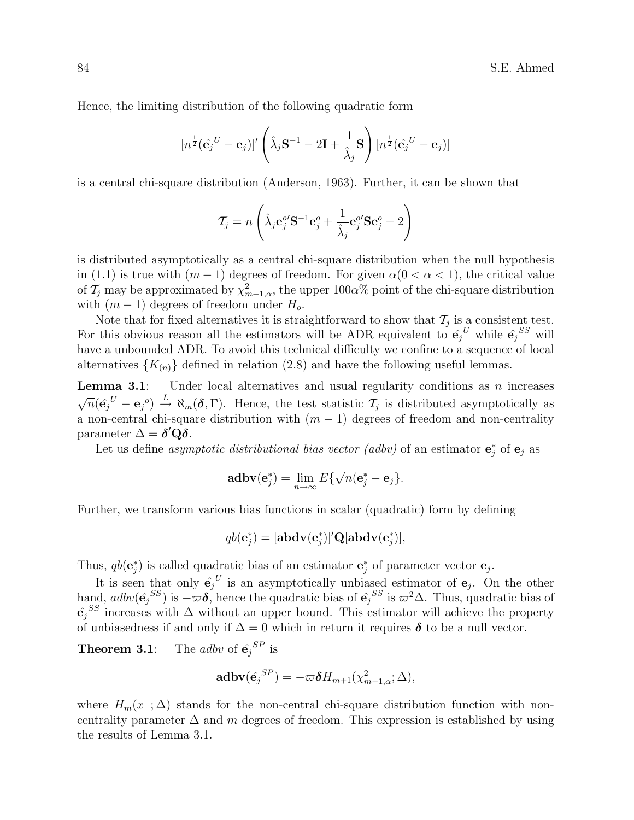Hence, the limiting distribution of the following quadratic form

$$
[n^{\frac{1}{2}}(\hat{\mathbf{e}}_j^{\ U}-\mathbf{e}_j)]'\left(\hat{\lambda}_j\mathbf{S}^{-1}-2\mathbf{I}+\frac{1}{\hat{\lambda}_j}\mathbf{S}\right)[n^{\frac{1}{2}}(\hat{\mathbf{e}}_j^{\ U}-\mathbf{e}_j)]
$$

is a central chi-square distribution (Anderson, 1963). Further, it can be shown that

$$
\mathcal{T}_j = n \left( \hat{\lambda}_j \mathbf{e}_j^o{}' \mathbf{S}^{-1} \mathbf{e}_j^o + \frac{1}{\hat{\lambda}_j} \mathbf{e}_j^o{}' \mathbf{S} \mathbf{e}_j^o - 2 \right)
$$

is distributed asymptotically as a central chi-square distribution when the null hypothesis in (1.1) is true with  $(m-1)$  degrees of freedom. For given  $\alpha(0 < \alpha < 1)$ , the critical value of  $\mathcal{T}_j$  may be approximated by  $\chi^2_{m-1,\alpha}$ , the upper 100 $\alpha$ % point of the chi-square distribution with  $(m-1)$  degrees of freedom under  $H<sub>o</sub>$ .

Note that for fixed alternatives it is straightforward to show that  $\mathcal{T}_j$  is a consistent test. For this obvious reason all the estimators will be ADR equivalent to  $\hat{\mathbf{e}}_j^U$  while  $\hat{\mathbf{e}}_j^{SS}$  will have a unbounded ADR. To avoid this technical difficulty we confine to a sequence of local alternatives  ${K_{(n)}}$  defined in relation (2.8) and have the following useful lemmas.

**Lemma 3.1:** Under local alternatives and usual regularity conditions as  $n$  increases √  $\overline{n}(\hat{\mathbf{e}}_j^U - \mathbf{e}_j^o) \stackrel{L}{\rightarrow} \aleph_m(\delta, \Gamma)$ . Hence, the test statistic  $\mathcal{T}_j$  is distributed asymptotically as a non-central chi-square distribution with  $(m - 1)$  degrees of freedom and non-centrality parameter  $\Delta = \delta' \mathbf{Q} \delta$ .

Let us define *asymptotic distributional bias vector (adbv)* of an estimator  $\mathbf{e}_j^*$  of  $\mathbf{e}_j$  as

$$
\mathbf{adbv}(\mathbf{e}_j^*) = \lim_{n \to \infty} E\{\sqrt{n}(\mathbf{e}_j^* - \mathbf{e}_j\}.
$$

Further, we transform various bias functions in scalar (quadratic) form by defining

$$
qb(\mathbf{e}_j^*) = [\mathbf{abdv}(\mathbf{e}_j^*)]' \mathbf{Q}[\mathbf{abdv}(\mathbf{e}_j^*)],
$$

Thus,  $qb(\mathbf{e}_j^*)$  is called quadratic bias of an estimator  $\mathbf{e}_j^*$  of parameter vector  $\mathbf{e}_j$ .

It is seen that only  $\hat{\mathbf{e}}_j^U$  is an asymptotically unbiased estimator of  $\mathbf{e}_j$ . On the other hand,  $adbv(\hat{\mathbf{e}}_j^{SS})$  is  $-\varpi\boldsymbol{\delta}$ , hence the quadratic bias of  $\hat{\mathbf{e}}_j^{SS}$  is  $\varpi^2\Delta$ . Thus, quadratic bias of  $\hat{\mathbf{e}}_j^{SS}$  increases with  $\Delta$  without an upper bound. This estimator will achieve the property of unbiasedness if and only if  $\Delta = 0$  which in return it requires  $\delta$  to be a null vector.

Theorem  $3.1$ : The *adbv* of  $\hat{\mathbf{e}}_i^{SP}$  is

$$
\mathbf{adbv}(\hat{\mathbf{e}_j}^{SP}) = -\varpi \boldsymbol{\delta} H_{m+1}(\chi^2_{m-1,\alpha};\Delta),
$$

where  $H_m(x;\Delta)$  stands for the non-central chi-square distribution function with noncentrality parameter  $\Delta$  and m degrees of freedom. This expression is established by using the results of Lemma 3.1.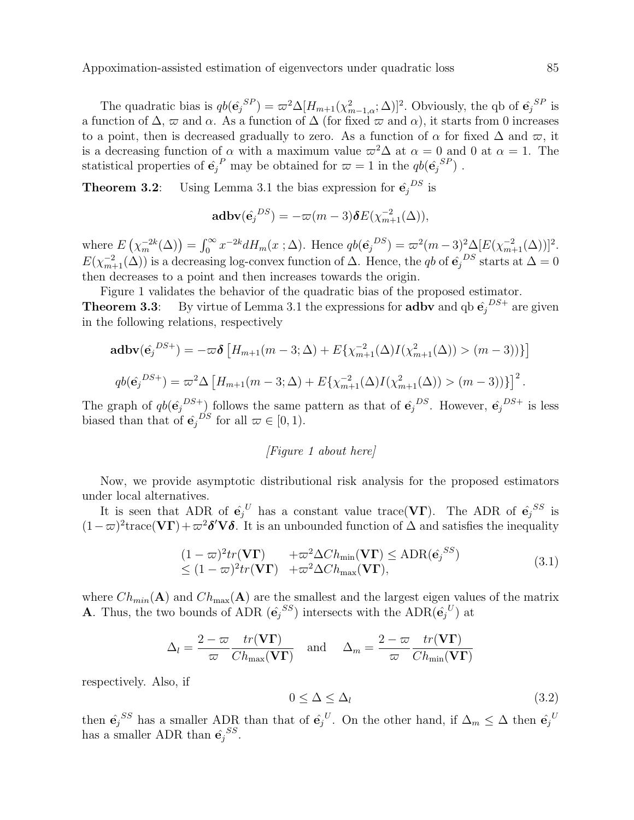The quadratic bias is  $qb(\hat{\mathbf{e}}_j^{SP}) = \omega^2 \Delta [H_{m+1}(\chi^2_{m-1,\alpha}; \Delta)]^2$ . Obviously, the qb of  $\hat{\mathbf{e}}_j^{SP}$  is a function of  $\Delta$ ,  $\varpi$  and  $\alpha$ . As a function of  $\Delta$  (for fixed  $\varpi$  and  $\alpha$ ), it starts from 0 increases to a point, then is decreased gradually to zero. As a function of  $\alpha$  for fixed  $\Delta$  and  $\varpi$ , it is a decreasing function of  $\alpha$  with a maximum value  $\varpi^2\Delta$  at  $\alpha = 0$  and 0 at  $\alpha = 1$ . The statistical properties of  $\hat{\mathbf{e}}_j^P$  may be obtained for  $\varpi = 1$  in the  $q b(\hat{\mathbf{e}}_j^{SP})$ .

**Theorem 3.2:** Using Lemma 3.1 the bias expression for  $\hat{\mathbf{e}}_j^{DS}$  is

$$
\mathbf{adbv}(\hat{\mathbf{e}_j}^{DS}) = -\varpi(m-3)\boldsymbol{\delta}E(\chi_{m+1}^{-2}(\Delta)),
$$

where  $E\left(\chi_m^{-2k}(\Delta)\right) = \int_0^\infty x^{-2k} dH_m(x;\Delta)$ . Hence  $qb(\hat{\mathbf{e}_j}^{DS}) = \varpi^2(m-3)^2 \Delta [E(\chi_{m+1}^{-2}(\Delta))]^2$ .  $E(\chi_{m+1}^{-2}(\Delta))$  is a decreasing log-convex function of  $\Delta$ . Hence, the qb of  $\hat{\mathbf{e}}_j^{DS}$  starts at  $\Delta = 0$ then decreases to a point and then increases towards the origin.

Figure 1 validates the behavior of the quadratic bias of the proposed estimator. **Theorem 3.3**: By virtue of Lemma 3.1 the expressions for **adbv** and qb  $\hat{\mathbf{e}}_j^{DS+}$  are given in the following relations, respectively

$$
\mathbf{adbv}(\hat{\mathbf{e}_j}^{DS+}) = -\varpi \delta \left[ H_{m+1}(m-3; \Delta) + E\{\chi_{m+1}^{-2}(\Delta)I(\chi_{m+1}^2(\Delta)) > (m-3))\} \right]
$$

$$
qb(\hat{\mathbf{e}_j}^{DS+}) = \varpi^2 \Delta \left[ H_{m+1}(m-3; \Delta) + E\{\chi_{m+1}^{-2}(\Delta)I(\chi_{m+1}^2(\Delta)) > (m-3))\} \right]^2.
$$

The graph of  $qb(\hat{\mathbf{e}}_j^{DS+})$  follows the same pattern as that of  $\hat{\mathbf{e}}_j^{DS}$ . However,  $\hat{\mathbf{e}}_j^{DS+}$  is less biased than that of  $\hat{\mathbf{e}}_j^{DS}$  for all  $\varpi \in [0, 1)$ .

### [Figure 1 about here]

Now, we provide asymptotic distributional risk analysis for the proposed estimators under local alternatives.

It is seen that ADR of  $\hat{\mathbf{e}}_j^U$  has a constant value trace(VT). The ADR of  $\hat{\mathbf{e}}_j^{SS}$  is  $(1-\varpi)^2$ trace(V $\Gamma$ )+ $\varpi^2 \delta' V \delta$ . It is an unbounded function of  $\Delta$  and satisfies the inequality

$$
(1 - \varpi)^2 tr(\mathbf{V}\mathbf{\Gamma}) + \varpi^2 \Delta Ch_{\min}(\mathbf{V}\mathbf{\Gamma}) \le \text{ADR}(\hat{\mathbf{e}}_j^{SS})
$$
  
 
$$
\le (1 - \varpi)^2 tr(\mathbf{V}\mathbf{\Gamma}) + \varpi^2 \Delta Ch_{\max}(\mathbf{V}\mathbf{\Gamma}),
$$
 (3.1)

where  $Ch_{min}({\bf A})$  and  $Ch_{max}({\bf A})$  are the smallest and the largest eigen values of the matrix **A**. Thus, the two bounds of ADR  $(\hat{\mathbf{e}_j}^{SS})$  intersects with the ADR $(\hat{\mathbf{e}_j}^{U})$  at

$$
\Delta_l = \frac{2 - \varpi}{\varpi} \frac{tr(\mathbf{V}\mathbf{\Gamma})}{Ch_{\max}(\mathbf{V}\mathbf{\Gamma})} \quad \text{and} \quad \Delta_m = \frac{2 - \varpi}{\varpi} \frac{tr(\mathbf{V}\mathbf{\Gamma})}{Ch_{\min}(\mathbf{V}\mathbf{\Gamma})}
$$

respectively. Also, if

$$
0 \le \Delta \le \Delta_l \tag{3.2}
$$

then  $\hat{\mathbf{e}}_j^{SS}$  has a smaller ADR than that of  $\hat{\mathbf{e}}_j^{U}$ . On the other hand, if  $\Delta_m \leq \Delta$  then  $\hat{\mathbf{e}}_j^{U}$ has a smaller ADR than  $\hat{\mathbf{e}_j}^{SS}$ .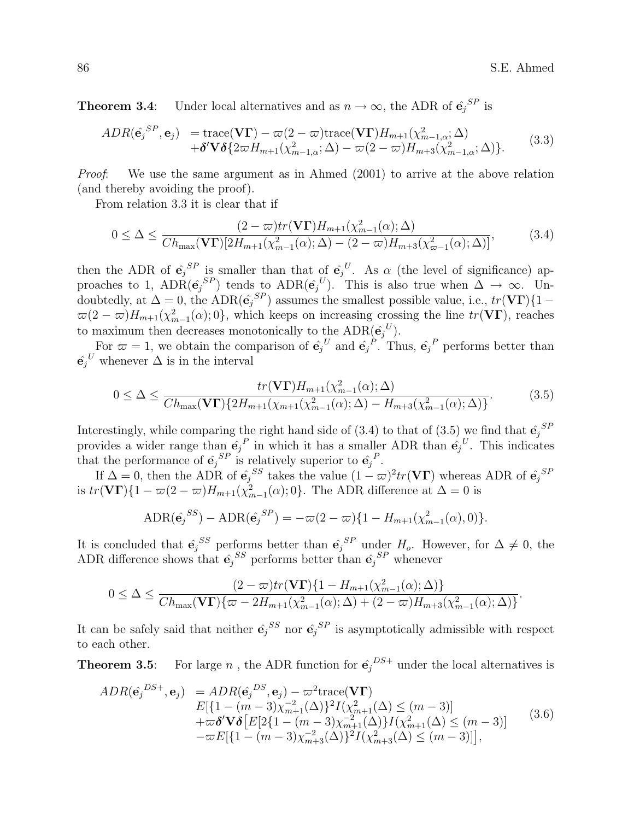**Theorem 3.4:** Under local alternatives and as  $n \to \infty$ , the ADR of  $\hat{\mathbf{e}}_j^{SP}$  is

$$
ADR(\hat{\mathbf{e}}_{j}^{SP}, \mathbf{e}_{j}) = \text{trace}(\mathbf{V}\mathbf{\Gamma}) - \varpi(2 - \varpi)\text{trace}(\mathbf{V}\mathbf{\Gamma})H_{m+1}(\chi_{m-1,\alpha}^{2}; \Delta) + \delta'\mathbf{V}\delta\{2\varpi H_{m+1}(\chi_{m-1,\alpha}^{2}; \Delta) - \varpi(2 - \varpi)H_{m+3}(\chi_{m-1,\alpha}^{2}; \Delta)\}.
$$
(3.3)

Proof: We use the same argument as in Ahmed (2001) to arrive at the above relation (and thereby avoiding the proof).

From relation 3.3 it is clear that if

$$
0 \leq \Delta \leq \frac{(2-\varpi)tr(\mathbf{V}\mathbf{\Gamma})H_{m+1}(\chi_{m-1}^2(\alpha);\Delta)}{Ch_{\max}(\mathbf{V}\mathbf{\Gamma})[2H_{m+1}(\chi_{m-1}^2(\alpha);\Delta)-(2-\varpi)H_{m+3}(\chi_{\varpi-1}^2(\alpha);\Delta)]},\tag{3.4}
$$

then the ADR of  $\hat{\mathbf{e}}_j^{SP}$  is smaller than that of  $\hat{\mathbf{e}}_j^{U}$ . As  $\alpha$  (the level of significance) approaches to 1,  $ADR(\hat{\mathbf{e}}_j^{SP})$  tends to  $ADR(\hat{\mathbf{e}}_j^{U})$ . This is also true when  $\Delta \to \infty$ . Undoubtedly, at  $\Delta = 0$ , the ADR( $\hat{\mathbf{e}}_j^{SP}$ ) assumes the smallest possible value, i.e.,  $tr(\mathbf{V}\mathbf{\Gamma})\{1-\}$  $\varpi(2-\varpi)H_{m+1}(\chi^2_{m-1}(\alpha);0)$ , which keeps on increasing crossing the line  $tr(V\Gamma)$ , reaches to maximum then decreases monotonically to the  $\text{ADR}(\hat{\mathbf{e}}_j^U)$ .

For  $\varpi = 1$ , we obtain the comparison of  $\hat{\mathbf{e}}_j^U$  and  $\hat{\mathbf{e}}_j^P$ . Thus,  $\hat{\mathbf{e}}_j^P$  performs better than  $\hat{\mathbf{e}_j}^U$  whenever  $\Delta$  is in the interval

$$
0 \le \Delta \le \frac{tr(\mathbf{V}\mathbf{\Gamma})H_{m+1}(\chi_{m-1}^2(\alpha);\Delta)}{Ch_{\max}(\mathbf{V}\mathbf{\Gamma})\{2H_{m+1}(\chi_{m+1}(\chi_{m-1}^2(\alpha);\Delta) - H_{m+3}(\chi_{m-1}^2(\alpha);\Delta)\}}.
$$
(3.5)

Interestingly, while comparing the right hand side of (3.4) to that of (3.5) we find that  $\hat{\mathbf{e}_j}^{SF}$ provides a wider range than  $\hat{\mathbf{e}_j}^P$  in which it has a smaller ADR than  $\hat{\mathbf{e}_j}^U$ . This indicates that the performance of  $\hat{\mathbf{e}}_j^{SP}$  is relatively superior to  $\hat{\mathbf{e}}_j^{P}$ .

If  $\Delta = 0$ , then the ADR of  $\hat{\mathbf{e}}_j^{SS}$  takes the value  $(1 - \varpi)^2 tr(\mathbf{V}\mathbf{\Gamma})$  whereas ADR of  $\hat{\mathbf{e}}_j^{SF}$ is  $tr(\mathbf{V}\mathbf{\Gamma})\{1-\varpi(2-\varpi)H_{m+1}(\chi_{m-1}^2(\alpha);0\}$ . The ADR difference at  $\Delta=0$  is

$$
\text{ADR}(\hat{\mathbf{e}_j}^{SS}) - \text{ADR}(\hat{\mathbf{e}_j}^{SP}) = -\varpi(2-\varpi)\{1 - H_{m+1}(\chi^2_{m-1}(\alpha), 0)\}.
$$

It is concluded that  $\hat{\mathbf{e}}_j^{SS}$  performs better than  $\hat{\mathbf{e}}_j^{SP}$  under  $H_o$ . However, for  $\Delta \neq 0$ , the ADR difference shows that  $\hat{\mathbf{e}}_j^{SS}$  performs better than  $\hat{\mathbf{e}}_j^{SP}$  whenever

$$
0 \leq \Delta \leq \frac{(2-\varpi)tr(\mathbf{V}\mathbf{\Gamma})\{1-H_{m+1}(\chi^2_{m-1}(\alpha);\Delta)\}}{Ch_{\max}(\mathbf{V}\mathbf{\Gamma})\{\varpi-2H_{m+1}(\chi^2_{m-1}(\alpha);\Delta)+(2-\varpi)H_{m+3}(\chi^2_{m-1}(\alpha);\Delta)\}}.
$$

It can be safely said that neither  $\hat{\mathbf{e}}_j^{SS}$  nor  $\hat{\mathbf{e}}_j^{SP}$  is asymptotically admissible with respect to each other.

**Theorem 3.5:** For large n, the ADR function for  $\hat{\mathbf{e}}_j^{DS+}$  under the local alternatives is

$$
ADR(\hat{\mathbf{e}}_{j}^{DS+}, \mathbf{e}_{j}) = ADR(\hat{\mathbf{e}}_{j}^{DS}, \mathbf{e}_{j}) - \varpi^{2} \text{trace}(\mathbf{V}\mathbf{\Gamma})
$$
  
\n
$$
E[\{1 - (m-3)\chi_{m+1}^{-2}(\Delta)\}^{2}I(\chi_{m+1}^{2}(\Delta) \leq (m-3)]
$$
  
\n
$$
+\varpi \delta' \mathbf{V} \delta \left[E[2\{1 - (m-3)\chi_{m+3}^{-2}(\Delta)\}I(\chi_{m+1}^{2}(\Delta) \leq (m-3)] - \varpi E[\{1 - (m-3)\chi_{m+3}^{-2}(\Delta)\}^{2}I(\chi_{m+3}^{2}(\Delta) \leq (m-3)]\right],
$$
\n(3.6)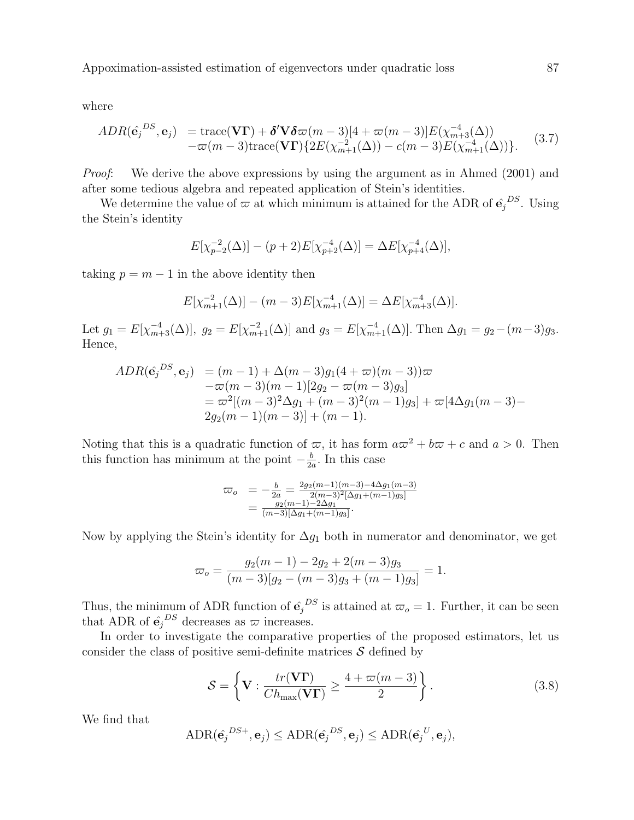Appoximation-assisted estimation of eigenvectors under quadratic loss 87

where

$$
ADR(\hat{\mathbf{e}}_j^{DS}, \mathbf{e}_j) = \text{trace}(\mathbf{V}\mathbf{\Gamma}) + \delta'\mathbf{V}\delta\varpi(m-3)[4+\varpi(m-3)]E(\chi_{m+3}^{-4}(\Delta)) -\varpi(m-3)\text{trace}(\mathbf{V}\mathbf{\Gamma})\{2E(\chi_{m+1}^{-2}(\Delta)) - c(m-3)E(\chi_{m+1}^{-4}(\Delta))\}.
$$
 (3.7)

Proof: We derive the above expressions by using the argument as in Ahmed (2001) and after some tedious algebra and repeated application of Stein's identities.

We determine the value of  $\varpi$  at which minimum is attained for the ADR of  $\hat{\mathbf{e}_j}^{DS}$ . Using the Stein's identity

$$
E[\chi_{p-2}^{-2}(\Delta)] - (p+2)E[\chi_{p+2}^{-4}(\Delta)] = \Delta E[\chi_{p+4}^{-4}(\Delta)],
$$

taking  $p = m - 1$  in the above identity then

$$
E[\chi_{m+1}^{-2}(\Delta)] - (m-3)E[\chi_{m+1}^{-4}(\Delta)] = \Delta E[\chi_{m+3}^{-4}(\Delta)].
$$

Let  $g_1 = E[\chi_{m+3}^{-4}(\Delta)], g_2 = E[\chi_{m+1}^{-2}(\Delta)]$  and  $g_3 = E[\chi_{m+1}^{-4}(\Delta)].$  Then  $\Delta g_1 = g_2 - (m-3)g_3$ . Hence,

$$
ADR(\hat{\mathbf{e}}_j^{DS}, \mathbf{e}_j) = (m-1) + \Delta(m-3)g_1(4+\varpi)(m-3))\varpi
$$
  

$$
-\varpi(m-3)(m-1)[2g_2 - \varpi(m-3)g_3]
$$
  

$$
=\varpi^2[(m-3)^2\Delta g_1 + (m-3)^2(m-1)g_3] + \varpi[4\Delta g_1(m-3) - 2g_2(m-1)(m-3)] + (m-1).
$$

Noting that this is a quadratic function of  $\varpi$ , it has form  $a\varpi^2 + b\varpi + c$  and  $a > 0$ . Then this function has minimum at the point  $-\frac{b}{2}$  $\frac{b}{2a}$ . In this case

$$
\begin{array}{rcl}\n\varpi_o & = -\frac{b}{2a} = \frac{2g_2(m-1)(m-3) - 4\Delta g_1(m-3)}{2(m-3)^2[\Delta g_1 + (m-1)g_3]} \\
& = \frac{g_2(m-1) - 2\Delta g_1}{(m-3)[\Delta g_1 + (m-1)g_3]}\n\end{array}
$$

Now by applying the Stein's identity for  $\Delta g_1$  both in numerator and denominator, we get

$$
\varpi_o = \frac{g_2(m-1) - 2g_2 + 2(m-3)g_3}{(m-3)[g_2 - (m-3)g_3 + (m-1)g_3]} = 1.
$$

Thus, the minimum of ADR function of  $\hat{\mathbf{e}}_j^{DS}$  is attained at  $\varpi_o = 1$ . Further, it can be seen that ADR of  $\hat{\mathbf{e}}_j^{DS}$  decreases as  $\varpi$  increases.

In order to investigate the comparative properties of the proposed estimators, let us consider the class of positive semi-definite matrices  $\mathcal S$  defined by

$$
S = \left\{ \mathbf{V} : \frac{tr(\mathbf{V}\mathbf{\Gamma})}{Ch_{\max}(\mathbf{V}\mathbf{\Gamma})} \ge \frac{4 + \varpi(m-3)}{2} \right\}.
$$
 (3.8)

We find that

$$
\text{ADR}(\hat{\mathbf{e}}_j^{DS+}, \mathbf{e}_j) \le \text{ADR}(\hat{\mathbf{e}}_j^{DS}, \mathbf{e}_j) \le \text{ADR}(\hat{\mathbf{e}}_j^{U}, \mathbf{e}_j),
$$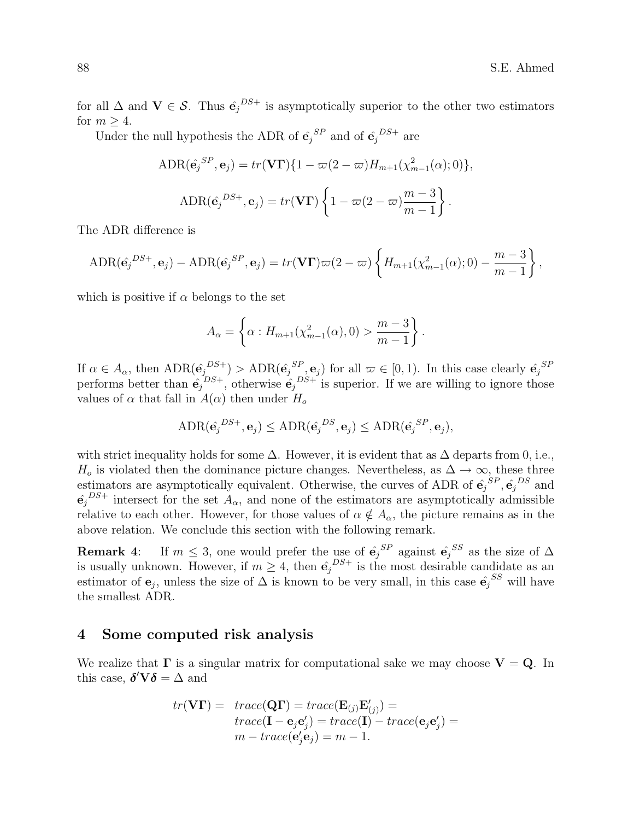,

for all  $\Delta$  and  $\mathbf{V} \in \mathcal{S}$ . Thus  $\hat{\mathbf{e}}_j^{DS+}$  is asymptotically superior to the other two estimators for  $m \geq 4$ .

Under the null hypothesis the ADR of  $\hat{\mathbf{e}}_j^{SP}$  and of  $\hat{\mathbf{e}}_j^{DS+}$  are

$$
\text{ADR}(\hat{\mathbf{e}}_j^{SP}, \mathbf{e}_j) = tr(\mathbf{V}\mathbf{\Gamma})\{1 - \varpi(2 - \varpi)H_{m+1}(\chi_{m-1}^2(\alpha); 0)\},
$$

$$
\text{ADR}(\hat{\mathbf{e}}_j^{DS+}, \mathbf{e}_j) = tr(\mathbf{V}\mathbf{\Gamma})\left\{1 - \varpi(2 - \varpi)\frac{m-3}{m-1}\right\}.
$$

The ADR difference is

$$
\text{ADR}(\hat{\mathbf{e}}_j^{DS+}, \mathbf{e}_j) - \text{ADR}(\hat{\mathbf{e}}_j^{SP}, \mathbf{e}_j) = tr(\mathbf{V}\mathbf{\Gamma})\varpi(2-\varpi)\left\{H_{m+1}(\chi^2_{m-1}(\alpha); 0) - \frac{m-3}{m-1}\right\}
$$

which is positive if  $\alpha$  belongs to the set

$$
A_{\alpha} = \left\{ \alpha : H_{m+1}(\chi_{m-1}^2(\alpha), 0) > \frac{m-3}{m-1} \right\}.
$$

If  $\alpha \in A_{\alpha}$ , then  $\text{ADR}(\hat{\mathbf{e}}_j^{DS+}) > \text{ADR}(\hat{\mathbf{e}}_j^{SP}, \mathbf{e}_j)$  for all  $\varpi \in [0, 1)$ . In this case clearly  $\hat{\mathbf{e}}_j^{SF}$ performs better than  $\hat{\mathbf{e}}_j^{DS+}$ , otherwise  $\hat{\mathbf{e}}_j^{DS+}$  is superior. If we are willing to ignore those values of  $\alpha$  that fall in  $A(\alpha)$  then under  $H_{\alpha}$ 

$$
\text{ADR}(\hat{\mathbf{e}_j}^{DS+}, \mathbf{e}_j) \le \text{ADR}(\hat{\mathbf{e}_j}^{DS}, \mathbf{e}_j) \le \text{ADR}(\hat{\mathbf{e}_j}^{SP}, \mathbf{e}_j),
$$

with strict inequality holds for some  $\Delta$ . However, it is evident that as  $\Delta$  departs from 0, i.e.,  $H_o$  is violated then the dominance picture changes. Nevertheless, as  $\Delta \to \infty$ , these three estimators are asymptotically equivalent. Otherwise, the curves of ADR of  $\hat{\mathbf{e}}_j^{SP}, \hat{\mathbf{e}}_j^{DS}$  and  $\hat{\mathbf{e}}_j^{DS+}$  intersect for the set  $A_\alpha$ , and none of the estimators are asymptotically admissible relative to each other. However, for those values of  $\alpha \notin A_{\alpha}$ , the picture remains as in the above relation. We conclude this section with the following remark.

**Remark** 4: If  $m \leq 3$ , one would prefer the use of  $\hat{\mathbf{e}}_j^{SP}$  against  $\hat{\mathbf{e}}_j^{SS}$  as the size of  $\Delta$ is usually unknown. However, if  $m \geq 4$ , then  $\mathbf{e}_j^{DS+}$  is the most desirable candidate as an estimator of  $e_j$ , unless the size of  $\Delta$  is known to be very small, in this case  $\hat{e_j}^{SS}$  will have the smallest ADR.

# 4 Some computed risk analysis

We realize that  $\Gamma$  is a singular matrix for computational sake we may choose  $V = Q$ . In this case,  $\delta' V \delta = \Delta$  and

$$
tr(\mathbf{V}\mathbf{\Gamma}) = \frac{trace(\mathbf{Q}\mathbf{\Gamma}) = trace(\mathbf{E}_{(j)}\mathbf{E}'_{(j)})}{trace(\mathbf{I} - \mathbf{e}_j\mathbf{e}'_j) = trace(\mathbf{I}) - trace(\mathbf{e}_j\mathbf{e}'_j)} =
$$
  

$$
m - trace(\mathbf{e}'_j\mathbf{e}_j) = m - 1.
$$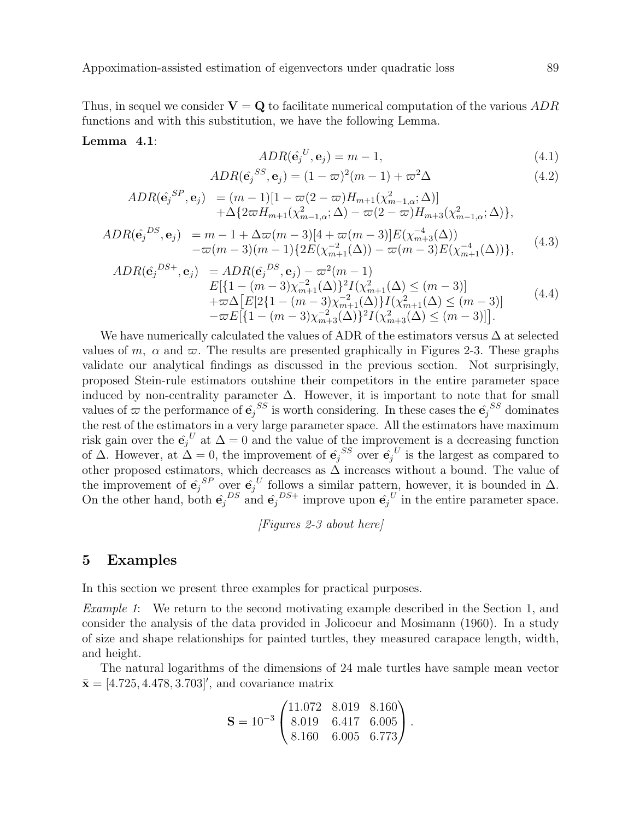Thus, in sequel we consider  $V = Q$  to facilitate numerical computation of the various  $ADR$ functions and with this substitution, we have the following Lemma.

#### Lemma 4.1:

$$
ADR(\hat{\mathbf{e}}_j^U, \mathbf{e}_j) = m - 1,\tag{4.1}
$$

$$
ADR(\hat{\mathbf{e}}_j^{SS}, \mathbf{e}_j) = (1 - \varpi)^2 (m - 1) + \varpi^2 \Delta \tag{4.2}
$$

$$
ADR(\hat{\mathbf{e}}_j^{SP}, \mathbf{e}_j) = (m-1)[1 - \varpi(2 - \varpi)H_{m+1}(\chi_{m-1,\alpha}^2; \Delta)] + \Delta \{2\varpi H_{m+1}(\chi_{m-1,\alpha}^2; \Delta) - \varpi(2 - \varpi)H_{m+3}(\chi_{m-1,\alpha}^2; \Delta)\},
$$

$$
ADR(\hat{\mathbf{e}}_j^{DS}, \mathbf{e}_j) = m - 1 + \Delta \varpi (m - 3)[4 + \varpi (m - 3)]E(\chi_{m+3}^{-4}(\Delta)) - \varpi (m - 3)(m - 1)\{2E(\chi_{m+1}^{-2}(\Delta)) - \varpi (m - 3)E(\chi_{m+1}^{-4}(\Delta))\},
$$
(4.3)

$$
ADR(\hat{\mathbf{e}}_{j}^{DS+}, \mathbf{e}_{j}) = ADR(\hat{\mathbf{e}}_{j}^{DS}, \mathbf{e}_{j}) - \varpi^{2}(m-1)
$$
  
\n
$$
E[\{1 - (m-3)\chi_{m+1}^{-2}(\Delta)\}^{2}I(\chi_{m+1}^{2}(\Delta) \leq (m-3)]
$$
  
\n
$$
+\varpi\Delta \left[E[2\{1 - (m-3)\chi_{m+1}^{-2}(\Delta)\}I(\chi_{m+1}^{2}(\Delta) \leq (m-3)]
$$
  
\n
$$
-\varpi E[\{1 - (m-3)\chi_{m+3}^{-2}(\Delta)\}^{2}I(\chi_{m+3}^{2}(\Delta) \leq (m-3)]\right].
$$
\n(4.4)

We have numerically calculated the values of ADR of the estimators versus  $\Delta$  at selected values of m,  $\alpha$  and  $\varpi$ . The results are presented graphically in Figures 2-3. These graphs validate our analytical findings as discussed in the previous section. Not surprisingly, proposed Stein-rule estimators outshine their competitors in the entire parameter space induced by non-centrality parameter  $\Delta$ . However, it is important to note that for small values of  $\varpi$  the performance of  $\hat{\mathbf{e}}_j^{SS}$  is worth considering. In these cases the  $\hat{\mathbf{e}}_j^{SS}$  dominates the rest of the estimators in a very large parameter space. All the estimators have maximum risk gain over the  $\hat{\mathbf{e}}_j^U$  at  $\Delta = 0$  and the value of the improvement is a decreasing function of  $\Delta$ . However, at  $\Delta = 0$ , the improvement of  $\hat{\mathbf{e}_j}^{SS}$  over  $\hat{\mathbf{e}_j}^{U}$  is the largest as compared to other proposed estimators, which decreases as  $\Delta$  increases without a bound. The value of the improvement of  $\hat{\mathbf{e}_j}^{SP}$  over  $\hat{\mathbf{e}_j}^{U}$  follows a similar pattern, however, it is bounded in  $\Delta$ . On the other hand, both  $\hat{\mathbf{e}}_j^{DS}$  and  $\hat{\mathbf{e}}_j^{DS+}$  improve upon  $\hat{\mathbf{e}}_j^{U}$  in the entire parameter space.

 $[Figures 2-3 about here]$ 

### 5 Examples

In this section we present three examples for practical purposes.

Example 1: We return to the second motivating example described in the Section 1, and consider the analysis of the data provided in Jolicoeur and Mosimann (1960). In a study of size and shape relationships for painted turtles, they measured carapace length, width, and height.

The natural logarithms of the dimensions of 24 male turtles have sample mean vector  $\bar{x} = [4.725, 4.478, 3.703]$ , and covariance matrix

$$
\mathbf{S} = 10^{-3} \begin{pmatrix} 11.072 & 8.019 & 8.160 \\ 8.019 & 6.417 & 6.005 \\ 8.160 & 6.005 & 6.773 \end{pmatrix}.
$$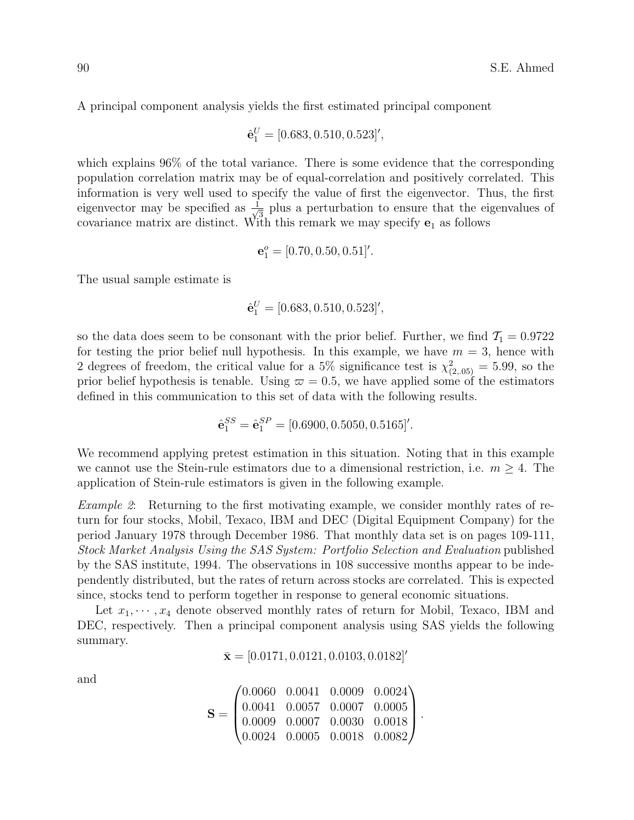A principal component analysis yields the first estimated principal component

$$
\hat{\mathbf{e}}_1^U = [0.683, 0.510, 0.523]^\prime,
$$

which explains 96% of the total variance. There is some evidence that the corresponding population correlation matrix may be of equal-correlation and positively correlated. This information is very well used to specify the value of first the eigenvector. Thus, the first eigenvector may be specified as  $\frac{1}{\sqrt{2}}$  $\frac{1}{3}$  plus a perturbation to ensure that the eigenvalues of covariance matrix are distinct. With this remark we may specify  $e_1$  as follows

$$
\mathbf{e}_1^o = [0.70, 0.50, 0.51]^\prime.
$$

The usual sample estimate is

$$
\hat{\mathbf{e}}_1^U = [0.683, 0.510, 0.523]'
$$

so the data does seem to be consonant with the prior belief. Further, we find  $\mathcal{T}_1 = 0.9722$ for testing the prior belief null hypothesis. In this example, we have  $m = 3$ , hence with 2 degrees of freedom, the critical value for a 5% significance test is  $\chi^2_{(2,05)} = 5.99$ , so the prior belief hypothesis is tenable. Using  $\varpi = 0.5$ , we have applied some of the estimators defined in this communication to this set of data with the following results.

$$
\hat{\mathbf{e}}_1^{SS} = \hat{\mathbf{e}}_1^{SP} = [0.6900, 0.5050, 0.5165]'
$$

We recommend applying pretest estimation in this situation. Noting that in this example we cannot use the Stein-rule estimators due to a dimensional restriction, i.e.  $m \geq 4$ . The application of Stein-rule estimators is given in the following example.

Example 2: Returning to the first motivating example, we consider monthly rates of return for four stocks, Mobil, Texaco, IBM and DEC (Digital Equipment Company) for the period January 1978 through December 1986. That monthly data set is on pages 109-111, Stock Market Analysis Using the SAS System: Portfolio Selection and Evaluation published by the SAS institute, 1994. The observations in 108 successive months appear to be independently distributed, but the rates of return across stocks are correlated. This is expected since, stocks tend to perform together in response to general economic situations.

Let  $x_1, \dots, x_4$  denote observed monthly rates of return for Mobil, Texaco, IBM and DEC, respectively. Then a principal component analysis using SAS yields the following summary.

 $\bar{\mathbf{x}} = [0.0171, 0.0121, 0.0103, 0.0182]$ 

and

$$
\mathbf{S} = \begin{pmatrix} 0.0060 & 0.0041 & 0.0009 & 0.0024 \\ 0.0041 & 0.0057 & 0.0007 & 0.0005 \\ 0.0009 & 0.0007 & 0.0030 & 0.0018 \\ 0.0024 & 0.0005 & 0.0018 & 0.0082 \end{pmatrix}.
$$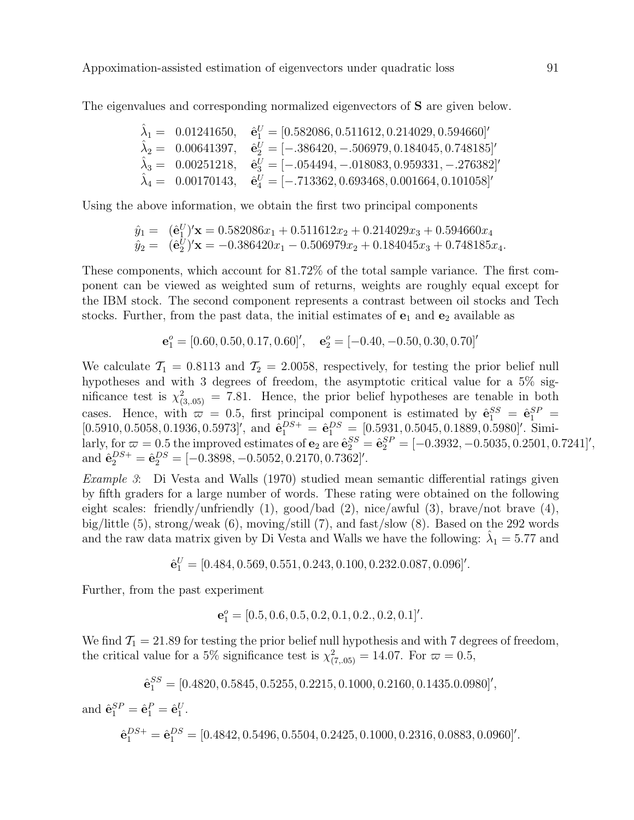The eigenvalues and corresponding normalized eigenvectors of S are given below.

$$
\begin{array}{rcl}\n\hat{\lambda}_1 &=& 0.01241650, & \hat{\mathbf{e}}_1^U = [0.582086, 0.511612, 0.214029, 0.594660]^\prime \\
\hat{\lambda}_2 &=& 0.00641397, & \hat{\mathbf{e}}_2^U = [-.386420, -.506979, 0.184045, 0.748185]^\prime \\
\hat{\lambda}_3 &=& 0.00251218, & \hat{\mathbf{e}}_3^U = [-.054494, -.018083, 0.959331, -.276382]^\prime \\
\hat{\lambda}_4 &=& 0.00170143, & \hat{\mathbf{e}}_4^U = [-.713362, 0.693468, 0.001664, 0.101058]^\prime\n\end{array}
$$

Using the above information, we obtain the first two principal components

$$
\hat{y}_1 = ( \hat{\mathbf{e}}_1^U )' \mathbf{x} = 0.582086x_1 + 0.511612x_2 + 0.214029x_3 + 0.594660x_4 \n\hat{y}_2 = ( \hat{\mathbf{e}}_2^U )' \mathbf{x} = -0.386420x_1 - 0.506979x_2 + 0.184045x_3 + 0.748185x_4.
$$

These components, which account for 81.72% of the total sample variance. The first component can be viewed as weighted sum of returns, weights are roughly equal except for the IBM stock. The second component represents a contrast between oil stocks and Tech stocks. Further, from the past data, the initial estimates of  $e_1$  and  $e_2$  available as

$$
\mathbf{e}_1^o = [0.60, 0.50, 0.17, 0.60]', \quad \mathbf{e}_2^o = [-0.40, -0.50, 0.30, 0.70]'
$$

We calculate  $\mathcal{T}_1 = 0.8113$  and  $\mathcal{T}_2 = 2.0058$ , respectively, for testing the prior belief null hypotheses and with 3 degrees of freedom, the asymptotic critical value for a 5% significance test is  $\chi^2_{(3,05)} = 7.81$ . Hence, the prior belief hypotheses are tenable in both cases. Hence, with  $\varpi = 0.5$ , first principal component is estimated by  $\hat{\mathbf{e}}_1^{SS} = \hat{\mathbf{e}}_1^{SP} =$  $[0.5910, 0.5058, 0.1936, 0.5973]'$ , and  $\hat{\mathbf{e}}_1^{DS+} = \hat{\mathbf{e}}_1^{DS} = [0.5931, 0.5045, 0.1889, 0.5980]'$ . Similarly, for  $\varpi = 0.5$  the improved estimates of  $\mathbf{e}_2$  are  $\hat{\mathbf{e}}_2^{SS} = \hat{\mathbf{e}}_2^{SP} = [-0.3932, -0.5035, 0.2501, 0.7241]$ ', and  $\hat{\mathbf{e}}_2^{DS+} = \hat{\mathbf{e}}_2^{DS} = [-0.3898, -0.5052, 0.2170, 0.7362]'$ .

Example 3: Di Vesta and Walls (1970) studied mean semantic differential ratings given by fifth graders for a large number of words. These rating were obtained on the following eight scales: friendly/unfriendly  $(1)$ , good/bad  $(2)$ , nice/awful  $(3)$ , brave/not brave  $(4)$ , big/little (5), strong/weak (6), moving/still (7), and fast/slow (8). Based on the 292 words and the raw data matrix given by Di Vesta and Walls we have the following:  $\hat{\lambda}_1 = 5.77$  and

$$
\hat{\mathbf{e}}_1^U = [0.484, 0.569, 0.551, 0.243, 0.100, 0.232.0.087, 0.096]'
$$

Further, from the past experiment

$$
\mathbf{e}^o_1=[0.5,0.6,0.5,0.2,0.1,0.2.,0.2,0.1]^\prime.
$$

We find  $\mathcal{T}_1 = 21.89$  for testing the prior belief null hypothesis and with 7 degrees of freedom, the critical value for a 5% significance test is  $\chi^2_{(7,05)} = 14.07$ . For  $\varpi = 0.5$ ,

$$
\hat{\mathbf{e}}_1^{SS} = [0.4820, 0.5845, 0.5255, 0.2215, 0.1000, 0.2160, 0.1435.0.0980]'
$$

and  $\hat{\bf e}_1^{SP} = \hat{\bf e}_1^P = \hat{\bf e}_1^U$ .

 $\hat{\mathbf{e}}_1^{DS+} = \hat{\mathbf{e}}_1^{DS} = [0.4842, 0.5496, 0.5504, 0.2425, 0.1000, 0.2316, 0.0883, 0.0960]'.$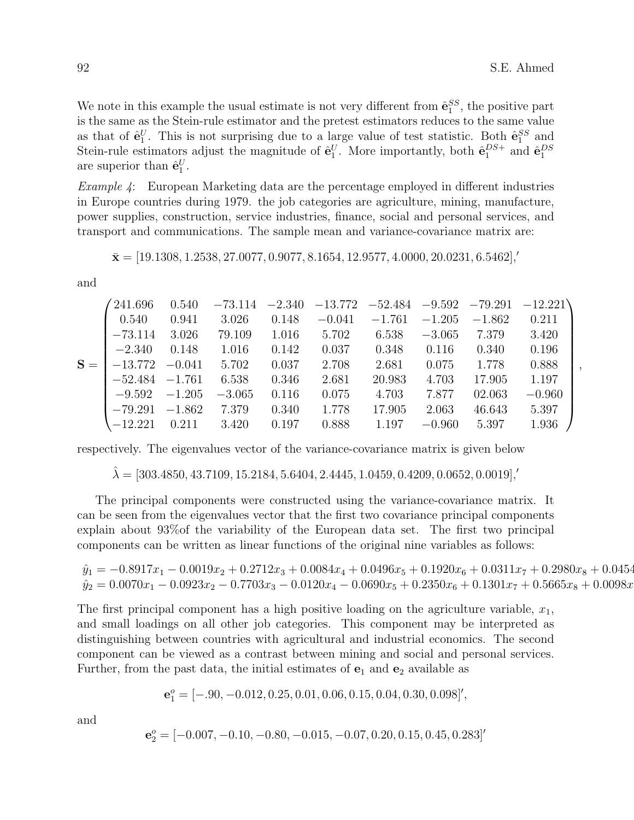,

We note in this example the usual estimate is not very different from  $\hat{\mathbf{e}}_1^{SS}$ , the positive part is the same as the Stein-rule estimator and the pretest estimators reduces to the same value as that of  $\hat{\mathbf{e}}_1^U$ . This is not surprising due to a large value of test statistic. Both  $\hat{\mathbf{e}}_1^{SS}$  and Stein-rule estimators adjust the magnitude of  $\hat{\mathbf{e}}_1^U$ . More importantly, both  $\hat{\mathbf{e}}_1^{DS+}$  and  $\hat{\mathbf{e}}_1^{DS}$ are superior than  $\hat{\mathbf{e}}_1^U$ .

Example 4: European Marketing data are the percentage employed in different industries in Europe countries during 1979. the job categories are agriculture, mining, manufacture, power supplies, construction, service industries, finance, social and personal services, and transport and communications. The sample mean and variance-covariance matrix are:

$$
\bar{\mathbf{x}} = [19.1308, 1.2538, 27.0077, 0.9077, 8.1654, 12.9577, 4.0000, 20.0231, 6.5462],
$$

and

|       | '241.696           | 0.540    | $-73.114$ | $-2.340$ | $-13.772$ $-52.484$ |          |          | $-9.592$ $-79.291$ $-12.221$ |          |
|-------|--------------------|----------|-----------|----------|---------------------|----------|----------|------------------------------|----------|
|       | 0.540              | 0.941    | 3.026     | 0.148    | $-0.041$            | $-1.761$ | $-1.205$ | $-1.862$                     | 0.211    |
|       | $-73.114$          | 3.026    | 79.109    | 1.016    | 5.702               | 6.538    | $-3.065$ | 7.379                        | 3.420    |
|       | $-2.340$           | 0.148    | 1.016     | 0.142    | 0.037               | 0.348    | 0.116    | 0.340                        | 0.196    |
| $S =$ | $-13.772 -0.041$   |          | 5.702     | 0.037    | 2.708               | 2.681    | 0.075    | 1.778                        | 0.888    |
|       | $-52.484$ $-1.761$ |          | 6.538     | 0.346    | 2.681               | 20.983   | 4.703    | 17.905                       | 1.197    |
|       | $-9.592$           | $-1.205$ | $-3.065$  | 0.116    | 0.075               | 4.703    | 7.877    | 02.063                       | $-0.960$ |
|       | $-79.291$          | $-1.862$ | 7.379     | 0.340    | 1.778               | 17.905   | 2.063    | 46.643                       | 5.397    |
|       | $\sqrt{-12.221}$   | 0.211    | 3.420     | 0.197    | 0.888               | 1.197    | $-0.960$ | 5.397                        | 1.936    |

respectively. The eigenvalues vector of the variance-covariance matrix is given below

 $\hat{\lambda} = [303.4850, 43.7109, 15.2184, 5.6404, 2.4445, 1.0459, 0.4209, 0.0652, 0.0019],'$ 

The principal components were constructed using the variance-covariance matrix. It can be seen from the eigenvalues vector that the first two covariance principal components explain about 93%of the variability of the European data set. The first two principal components can be written as linear functions of the original nine variables as follows:

$$
\hat{y}_1 = -0.8917x_1 - 0.0019x_2 + 0.2712x_3 + 0.0084x_4 + 0.0496x_5 + 0.1920x_6 + 0.0311x_7 + 0.2980x_8 + 0.0454x_9
$$
  
\n
$$
\hat{y}_2 = 0.0070x_1 - 0.0923x_2 - 0.7703x_3 - 0.0120x_4 - 0.0690x_5 + 0.2350x_6 + 0.1301x_7 + 0.5665x_8 + 0.0098x_9
$$

The first principal component has a high positive loading on the agriculture variable,  $x_1$ , and small loadings on all other job categories. This component may be interpreted as distinguishing between countries with agricultural and industrial economics. The second component can be viewed as a contrast between mining and social and personal services. Further, from the past data, the initial estimates of  $e_1$  and  $e_2$  available as

 $\mathbf{e}_1^o = [-.90, -0.012, 0.25, 0.01, 0.06, 0.15, 0.04, 0.30, 0.098]^\prime,$ 

and

 ${\bf e}_2^o=[-0.007,-0.10,-0.80,-0.015,-0.07,0.20,0.15,0.45,0.283]^{\prime}$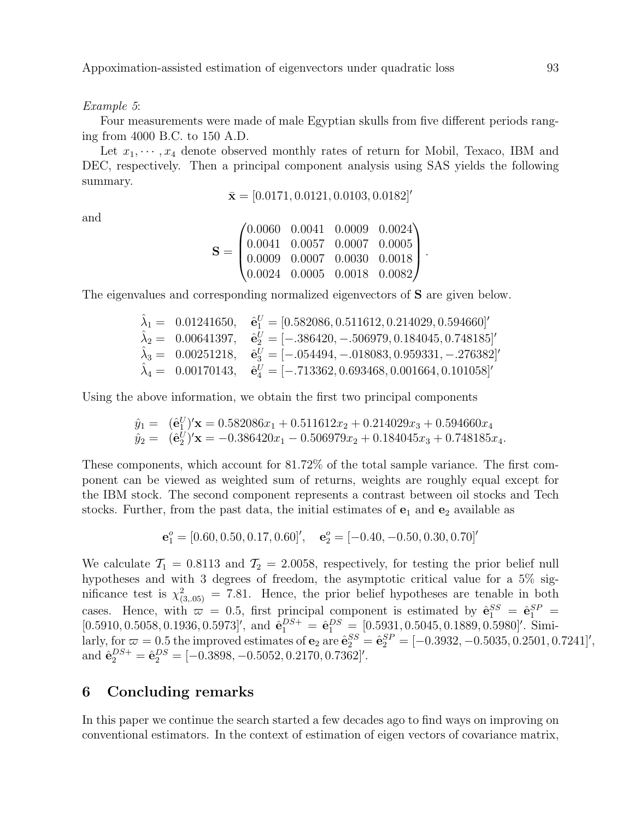#### Example 5:

Four measurements were made of male Egyptian skulls from five different periods ranging from 4000 B.C. to 150 A.D.

Let  $x_1, \dots, x_4$  denote observed monthly rates of return for Mobil, Texaco, IBM and DEC, respectively. Then a principal component analysis using SAS yields the following summary.

$$
\bar{\mathbf{x}} = [0.0171, 0.0121, 0.0103, 0.0182]'
$$

and

$$
\mathbf{S} = \begin{pmatrix} 0.0060 & 0.0041 & 0.0009 & 0.0024 \\ 0.0041 & 0.0057 & 0.0007 & 0.0005 \\ 0.0009 & 0.0007 & 0.0030 & 0.0018 \\ 0.0024 & 0.0005 & 0.0018 & 0.0082 \end{pmatrix}.
$$

The eigenvalues and corresponding normalized eigenvectors of S are given below.

| $\lambda_1 = 0.01241650,$ | $\hat{\mathbf{e}}_1^U = [0.582086, 0.511612, 0.214029, 0.594660]'$ |
|---------------------------|--------------------------------------------------------------------|
| $\lambda_2 = 0.00641397,$ | $\hat{\mathbf{e}}_2^U = [-.386420, -.506979, 0.184045, 0.748185]$  |
| $\lambda_3 = 0.00251218,$ | $\hat{\mathbf{e}}_3^U = [-.054494, -.018083, 0.959331, -.276382]$  |
| $\lambda_4 = 0.00170143,$ | $\hat{\mathbf{e}}_4^U = [-.713362, 0.693468, 0.001664, 0.101058]$  |

Using the above information, we obtain the first two principal components

$$
\hat{y}_1 = ( \hat{\mathbf{e}}_1^U )' \mathbf{x} = 0.582086x_1 + 0.511612x_2 + 0.214029x_3 + 0.594660x_4 \n\hat{y}_2 = ( \hat{\mathbf{e}}_2^U )' \mathbf{x} = -0.386420x_1 - 0.506979x_2 + 0.184045x_3 + 0.748185x_4.
$$

These components, which account for 81.72% of the total sample variance. The first component can be viewed as weighted sum of returns, weights are roughly equal except for the IBM stock. The second component represents a contrast between oil stocks and Tech stocks. Further, from the past data, the initial estimates of  $e_1$  and  $e_2$  available as

$$
\mathbf{e}_1^o = [0.60, 0.50, 0.17, 0.60]', \quad \mathbf{e}_2^o = [-0.40, -0.50, 0.30, 0.70]'
$$

We calculate  $\mathcal{T}_1 = 0.8113$  and  $\mathcal{T}_2 = 2.0058$ , respectively, for testing the prior belief null hypotheses and with 3 degrees of freedom, the asymptotic critical value for a 5% significance test is  $\chi^2_{(3,05)} = 7.81$ . Hence, the prior belief hypotheses are tenable in both cases. Hence, with  $\varpi = 0.5$ , first principal component is estimated by  $\hat{\mathbf{e}}_1^{SS} = \hat{\mathbf{e}}_1^{SP} =$  $[0.5910, 0.5058, 0.1936, 0.5973]'$ , and  $\hat{\mathbf{e}}_1^{DS+} = \hat{\mathbf{e}}_1^{DS} = [0.5931, 0.5045, 0.1889, 0.5980]'$ . Similarly, for  $\varpi = 0.5$  the improved estimates of  $\mathbf{e}_2$  are  $\hat{\mathbf{e}}_2^{SS} = \hat{\mathbf{e}}_2^{SP} = [-0.3932, -0.5035, 0.2501, 0.7241]$ ', and  $\hat{\mathbf{e}}_2^{DS+} = \hat{\mathbf{e}}_2^{DS} = [-0.3898, -0.5052, 0.2170, 0.7362]'$ .

# 6 Concluding remarks

In this paper we continue the search started a few decades ago to find ways on improving on conventional estimators. In the context of estimation of eigen vectors of covariance matrix,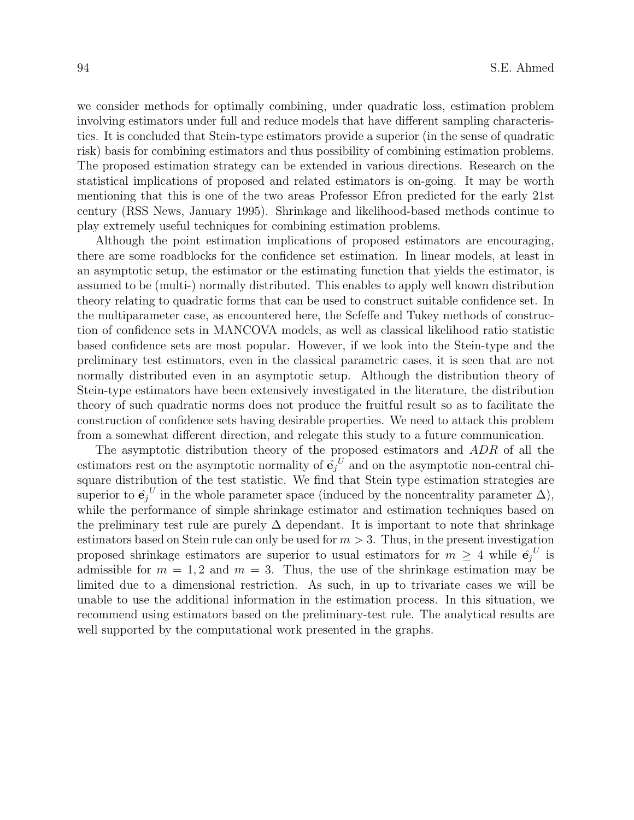we consider methods for optimally combining, under quadratic loss, estimation problem involving estimators under full and reduce models that have different sampling characteristics. It is concluded that Stein-type estimators provide a superior (in the sense of quadratic risk) basis for combining estimators and thus possibility of combining estimation problems. The proposed estimation strategy can be extended in various directions. Research on the statistical implications of proposed and related estimators is on-going. It may be worth mentioning that this is one of the two areas Professor Efron predicted for the early 21st century (RSS News, January 1995). Shrinkage and likelihood-based methods continue to play extremely useful techniques for combining estimation problems.

Although the point estimation implications of proposed estimators are encouraging, there are some roadblocks for the confidence set estimation. In linear models, at least in an asymptotic setup, the estimator or the estimating function that yields the estimator, is assumed to be (multi-) normally distributed. This enables to apply well known distribution theory relating to quadratic forms that can be used to construct suitable confidence set. In the multiparameter case, as encountered here, the Scfeffe and Tukey methods of construction of confidence sets in MANCOVA models, as well as classical likelihood ratio statistic based confidence sets are most popular. However, if we look into the Stein-type and the preliminary test estimators, even in the classical parametric cases, it is seen that are not normally distributed even in an asymptotic setup. Although the distribution theory of Stein-type estimators have been extensively investigated in the literature, the distribution theory of such quadratic norms does not produce the fruitful result so as to facilitate the construction of confidence sets having desirable properties. We need to attack this problem from a somewhat different direction, and relegate this study to a future communication.

The asymptotic distribution theory of the proposed estimators and ADR of all the estimators rest on the asymptotic normality of  $\hat{\mathbf{e}}_j^U$  and on the asymptotic non-central chisquare distribution of the test statistic. We find that Stein type estimation strategies are superior to  $\hat{\mathbf{e}}_j^U$  in the whole parameter space (induced by the noncentrality parameter  $\Delta$ ), while the performance of simple shrinkage estimator and estimation techniques based on the preliminary test rule are purely  $\Delta$  dependant. It is important to note that shrinkage estimators based on Stein rule can only be used for  $m > 3$ . Thus, in the present investigation proposed shrinkage estimators are superior to usual estimators for  $m \geq 4$  while  $\hat{\mathbf{e}}_j^{\ U}$  is admissible for  $m = 1, 2$  and  $m = 3$ . Thus, the use of the shrinkage estimation may be limited due to a dimensional restriction. As such, in up to trivariate cases we will be unable to use the additional information in the estimation process. In this situation, we recommend using estimators based on the preliminary-test rule. The analytical results are well supported by the computational work presented in the graphs.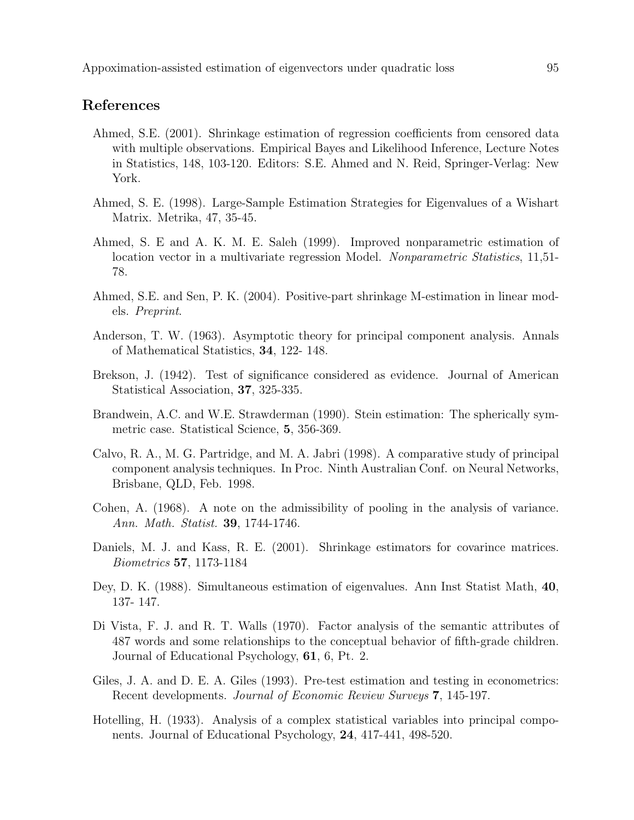# References

- Ahmed, S.E. (2001). Shrinkage estimation of regression coefficients from censored data with multiple observations. Empirical Bayes and Likelihood Inference, Lecture Notes in Statistics, 148, 103-120. Editors: S.E. Ahmed and N. Reid, Springer-Verlag: New York.
- Ahmed, S. E. (1998). Large-Sample Estimation Strategies for Eigenvalues of a Wishart Matrix. Metrika, 47, 35-45.
- Ahmed, S. E and A. K. M. E. Saleh (1999). Improved nonparametric estimation of location vector in a multivariate regression Model. *Nonparametric Statistics*, 11,51-78.
- Ahmed, S.E. and Sen, P. K. (2004). Positive-part shrinkage M-estimation in linear models. Preprint.
- Anderson, T. W. (1963). Asymptotic theory for principal component analysis. Annals of Mathematical Statistics, 34, 122- 148.
- Brekson, J. (1942). Test of significance considered as evidence. Journal of American Statistical Association, 37, 325-335.
- Brandwein, A.C. and W.E. Strawderman (1990). Stein estimation: The spherically symmetric case. Statistical Science, 5, 356-369.
- Calvo, R. A., M. G. Partridge, and M. A. Jabri (1998). A comparative study of principal component analysis techniques. In Proc. Ninth Australian Conf. on Neural Networks, Brisbane, QLD, Feb. 1998.
- Cohen, A. (1968). A note on the admissibility of pooling in the analysis of variance. Ann. Math. Statist. 39, 1744-1746.
- Daniels, M. J. and Kass, R. E. (2001). Shrinkage estimators for covarince matrices. Biometrics 57, 1173-1184
- Dey, D. K. (1988). Simultaneous estimation of eigenvalues. Ann Inst Statist Math, 40, 137- 147.
- Di Vista, F. J. and R. T. Walls (1970). Factor analysis of the semantic attributes of 487 words and some relationships to the conceptual behavior of fifth-grade children. Journal of Educational Psychology, 61, 6, Pt. 2.
- Giles, J. A. and D. E. A. Giles (1993). Pre-test estimation and testing in econometrics: Recent developments. Journal of Economic Review Surveys 7, 145-197.
- Hotelling, H. (1933). Analysis of a complex statistical variables into principal components. Journal of Educational Psychology, 24, 417-441, 498-520.